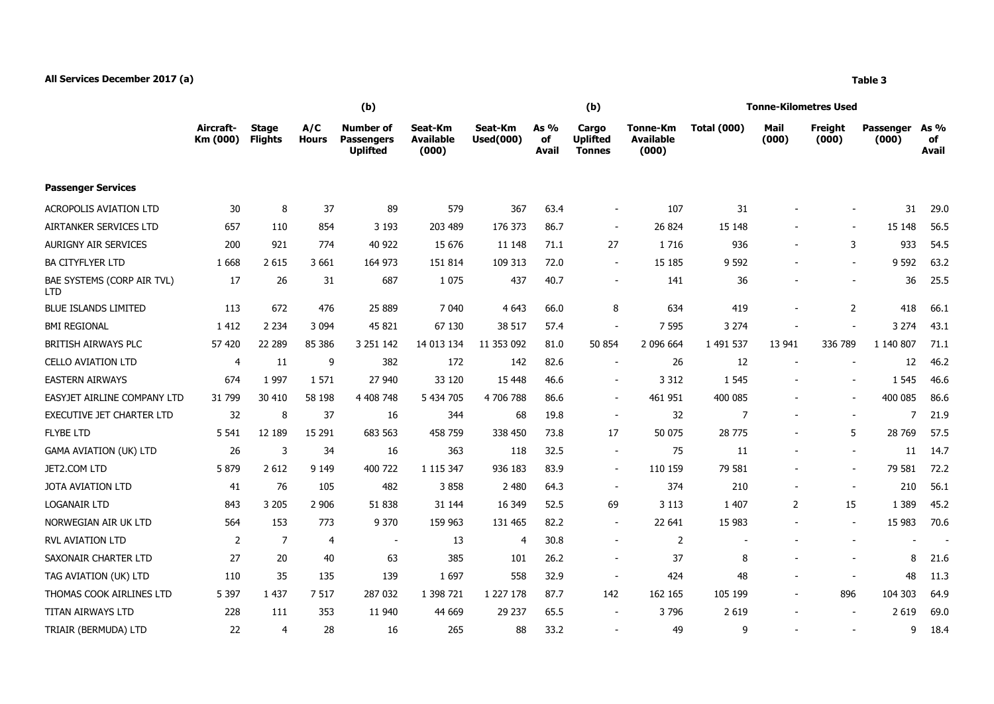## **All Services December 2017 (a) Table 3**

**Aircraft-Km (000)**

**Stage Flights**

**A/C Hours**

| (b)                                               |                                      |                      |                       | (b)                                |                                       | <b>Tonne-Kilometres Used</b> |               |                         |                    |                            |  |  |
|---------------------------------------------------|--------------------------------------|----------------------|-----------------------|------------------------------------|---------------------------------------|------------------------------|---------------|-------------------------|--------------------|----------------------------|--|--|
| Number of<br><b>Passengers</b><br><b>Uplifted</b> | Seat-Km<br><b>Available</b><br>(000) | Seat-Km<br>Used(000) | As $%$<br>of<br>Avail | Cargo<br><b>Uplifted</b><br>Tonnes | Tonne-Km<br><b>Available</b><br>(000) | <b>Total (000)</b>           | Mail<br>(000) | <b>Freight</b><br>(000) | Passenger<br>(000) | As %<br>оf<br><b>Avail</b> |  |  |

| <b>Passenger Services</b>                |                |         |                |                |               |                |      |                          |                |           |                          |                          |           |      |
|------------------------------------------|----------------|---------|----------------|----------------|---------------|----------------|------|--------------------------|----------------|-----------|--------------------------|--------------------------|-----------|------|
| <b>ACROPOLIS AVIATION LTD</b>            | 30             | 8       | 37             | 89             | 579           | 367            | 63.4 | $\blacksquare$           | 107            | 31        |                          |                          | 31        | 29.0 |
| AIRTANKER SERVICES LTD                   | 657            | 110     | 854            | 3 1 9 3        | 203 489       | 176 373        | 86.7 | $\blacksquare$           | 26 824         | 15 148    |                          | $\overline{\phantom{a}}$ | 15 148    | 56.5 |
| <b>AURIGNY AIR SERVICES</b>              | 200            | 921     | 774            | 40 922         | 15 676        | 11 148         | 71.1 | 27                       | 1716           | 936       |                          | 3                        | 933       | 54.5 |
| <b>BA CITYFLYER LTD</b>                  | 1668           | 2 6 1 5 | 3 6 6 1        | 164 973        | 151 814       | 109 313        | 72.0 | $\blacksquare$           | 15 185         | 9 5 9 2   | $\sim$                   | $\overline{\phantom{a}}$ | 9 5 9 2   | 63.2 |
| BAE SYSTEMS (CORP AIR TVL)<br><b>LTD</b> | 17             | 26      | 31             | 687            | 1 0 7 5       | 437            | 40.7 | $\blacksquare$           | 141            | 36        | $\overline{\phantom{a}}$ | $\overline{\phantom{a}}$ | 36        | 25.5 |
| <b>BLUE ISLANDS LIMITED</b>              | 113            | 672     | 476            | 25 8 89        | 7 0 4 0       | 4 6 4 3        | 66.0 | 8                        | 634            | 419       |                          | 2                        | 418       | 66.1 |
| <b>BMI REGIONAL</b>                      | 1 4 1 2        | 2 2 3 4 | 3 0 9 4        | 45 821         | 67 130        | 38 517         | 57.4 | $\overline{\phantom{a}}$ | 7 5 9 5        | 3 2 7 4   |                          |                          | 3 2 7 4   | 43.1 |
| BRITISH AIRWAYS PLC                      | 57 420         | 22 289  | 85 386         | 3 2 5 1 1 4 2  | 14 013 134    | 11 353 092     | 81.0 | 50 854                   | 2 096 664      | 1 491 537 | 13 941                   | 336 789                  | 1 140 807 | 71.1 |
| <b>CELLO AVIATION LTD</b>                | $\overline{4}$ | 11      | 9              | 382            | 172           | 142            | 82.6 | $\overline{\phantom{a}}$ | 26             | 12        |                          |                          | 12        | 46.2 |
| <b>EASTERN AIRWAYS</b>                   | 674            | 1 9 9 7 | 1 5 7 1        | 27 940         | 33 120        | 15 448         | 46.6 | $\blacksquare$           | 3 3 1 2        | 1 5 4 5   |                          |                          | 1 5 4 5   | 46.6 |
| EASYJET AIRLINE COMPANY LTD              | 31 799         | 30 410  | 58 198         | 4 408 748      | 5 434 705     | 4706788        | 86.6 | $\overline{\phantom{a}}$ | 461 951        | 400 085   |                          |                          | 400 085   | 86.6 |
| <b>EXECUTIVE JET CHARTER LTD</b>         | 32             | 8       | 37             | 16             | 344           | 68             | 19.8 | $\blacksquare$           | 32             | 7         |                          | $\overline{\phantom{a}}$ | 7         | 21.9 |
| <b>FLYBE LTD</b>                         | 5 5 4 1        | 12 189  | 15 29 1        | 683 563        | 458 759       | 338 450        | 73.8 | 17                       | 50 075         | 28 775    | $\sim$                   | 5                        | 28 769    | 57.5 |
| <b>GAMA AVIATION (UK) LTD</b>            | 26             | 3       | 34             | 16             | 363           | 118            | 32.5 | $\sim$                   | 75             | 11        |                          | $\sim$                   | 11        | 14.7 |
| JET2.COM LTD                             | 5 8 7 9        | 2 6 1 2 | 9 1 4 9        | 400 722        | 1 1 1 5 3 4 7 | 936 183        | 83.9 | $\blacksquare$           | 110 159        | 79 581    |                          | $\blacksquare$           | 79 581    | 72.2 |
| JOTA AVIATION LTD                        | 41             | 76      | 105            | 482            | 3858          | 2 4 8 0        | 64.3 | $\sim$                   | 374            | 210       |                          |                          | 210       | 56.1 |
| <b>LOGANAIR LTD</b>                      | 843            | 3 2 0 5 | 2 9 0 6        | 51 838         | 31 144        | 16 349         | 52.5 | 69                       | 3 1 1 3        | 1 407     | 2                        | 15                       | 1 3 8 9   | 45.2 |
| NORWEGIAN AIR UK LTD                     | 564            | 153     | 773            | 9 3 7 0        | 159 963       | 131 465        | 82.2 | $\blacksquare$           | 22 641         | 15 983    |                          | $\blacksquare$           | 15 983    | 70.6 |
| <b>RVL AVIATION LTD</b>                  | $\overline{2}$ | 7       | $\overline{4}$ | $\blacksquare$ | 13            | $\overline{4}$ | 30.8 | $\overline{\phantom{a}}$ | $\overline{2}$ |           |                          |                          |           |      |
| SAXONAIR CHARTER LTD                     | 27             | 20      | 40             | 63             | 385           | 101            | 26.2 | $\overline{\phantom{a}}$ | 37             | 8         | $\overline{\phantom{a}}$ | $\overline{\phantom{a}}$ | 8         | 21.6 |
| TAG AVIATION (UK) LTD                    | 110            | 35      | 135            | 139            | 1697          | 558            | 32.9 | $\overline{\phantom{a}}$ | 424            | 48        |                          |                          | 48        | 11.3 |
| THOMAS COOK AIRLINES LTD                 | 5 3 9 7        | 1 4 3 7 | 7 5 1 7        | 287 032        | 1 398 721     | 1 227 178      | 87.7 | 142                      | 162 165        | 105 199   | $\overline{\phantom{a}}$ | 896                      | 104 303   | 64.9 |
| TITAN AIRWAYS LTD                        | 228            | 111     | 353            | 11 940         | 44 669        | 29 237         | 65.5 | $\overline{\phantom{a}}$ | 3796           | 2 6 1 9   |                          | $\overline{\phantom{a}}$ | 2 6 1 9   | 69.0 |
| TRIAIR (BERMUDA) LTD                     | 22             | 4       | 28             | 16             | 265           | 88             | 33.2 |                          | 49             | 9         |                          |                          | q         | 18.4 |